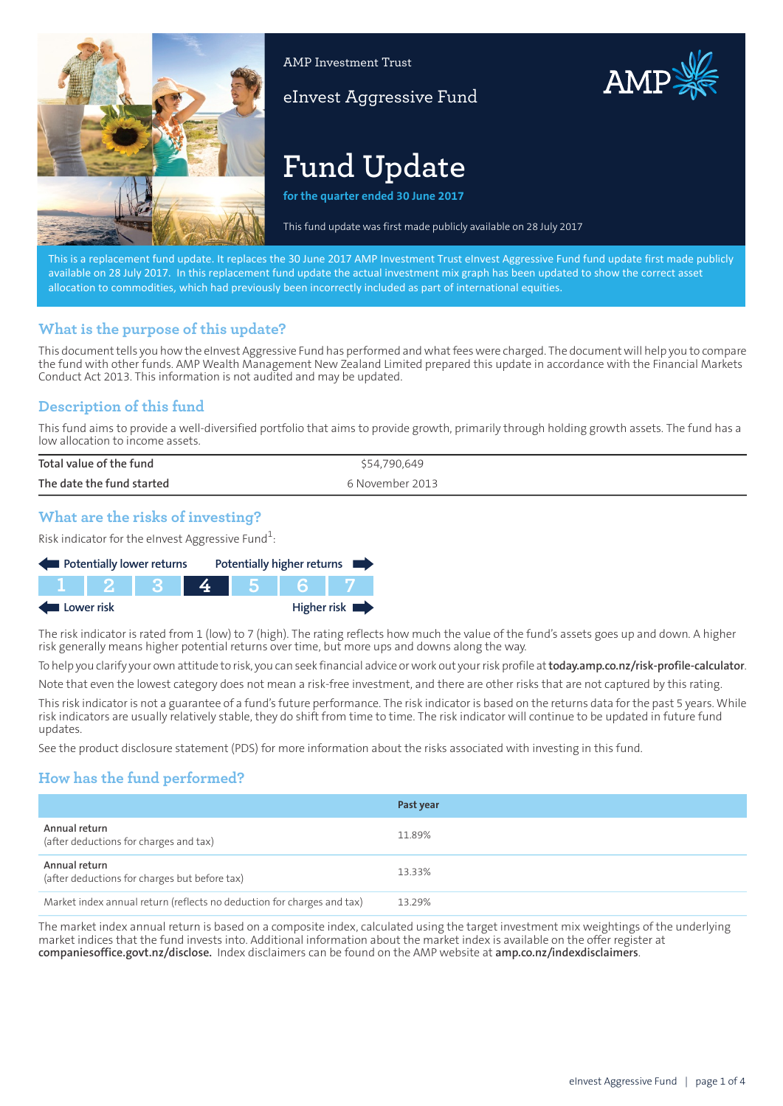

AMP Investment Trust

eInvest Aggressive Fund

# AMP

# **Fund Update**

**for the quarter ended 30 June 2017**

This fund update was first made publicly available on 13 March 2018

This is a replacement fund update. It replaces the 30 June 2017 AMP Investment Trust eInvest Aggressive Fund fund update first made publicly available on 28 July 2017. In this replacement fund update the actual investment mix graph has been updated to show the correct asset allocation to commodities, which had previously been incorrectly included as part of international equities.

# **What is the purpose of this update?**

This document tells you how the eInvest Aggressive Fund has performed and what fees were charged. The document will help you to compare the fund with other funds. AMP Wealth Management New Zealand Limited prepared this update in accordance with the Financial Markets Conduct Act 2013. This information is not audited and may be updated.

# **Description of this fund**

This fund aims to provide a well-diversified portfolio that aims to provide growth, primarily through holding growth assets. The fund has a low allocation to income assets.

| Total value of the fund   | \$54,790,649    |
|---------------------------|-----------------|
| The date the fund started | 6 November 2013 |

# **What are the risks of investing?**

Risk indicator for the eInvest Aggressive Fund $^1$ :

| Potentially lower returns |       |  | Potentially higher returns |  |                            |
|---------------------------|-------|--|----------------------------|--|----------------------------|
|                           | 1 2 I |  |                            |  |                            |
| Lower risk                |       |  |                            |  | Higher risk $\blacksquare$ |

The risk indicator is rated from 1 (low) to 7 (high). The rating reflects how much the value of the fund's assets goes up and down. A higher risk generally means higher potential returns over time, but more ups and downs along the way.

To help you clarify your own attitude to risk, you can seek financial advice or work out your risk profile at**[today.amp.co.nz/risk-profile-calculator](http://today.amp.co.nz/risk-profile-calculator)**.

Note that even the lowest category does not mean a risk-free investment, and there are other risks that are not captured by this rating.

This risk indicator is not a guarantee of a fund's future performance. The risk indicator is based on the returns data for the past 5 years. While risk indicators are usually relatively stable, they do shift from time to time. The risk indicator will continue to be updated in future fund updates.

See the product disclosure statement (PDS) for more information about the risks associated with investing in this fund.

# **How has the fund performed?**

|                                                                        | Past year |
|------------------------------------------------------------------------|-----------|
| Annual return<br>(after deductions for charges and tax)                | 11.89%    |
| Annual return<br>(after deductions for charges but before tax)         | 13.33%    |
| Market index annual return (reflects no deduction for charges and tax) | 13.29%    |

The market index annual return is based on a composite index, calculated using the target investment mix weightings of the underlying market indices that the fund invests into. Additional information about the market index is available on the offer register at **[companiesoffice.govt.nz/disclose](http://companiesoffice.govt.nz/disclose).** Index disclaimers can be found on the AMP website at **[amp.co.nz/indexdisclaimers](http://amp.co.nz/indexdisclaimers)**.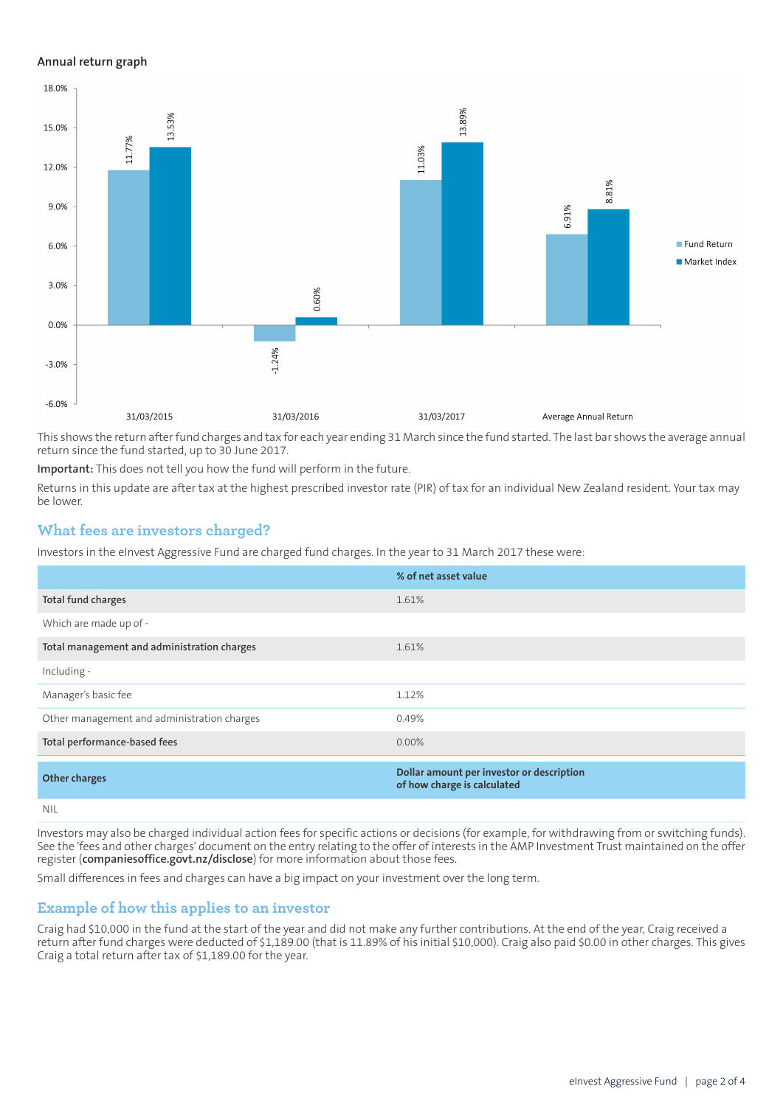#### **Annual return graph**



This shows the return afterfund charges and tax for each year ending 31 March since the fund started. The last bar shows the average annual return since the fund started, up to 30 June 2017.

**Important:** This does not tell you how the fund will perform in the future.

Returns in this update are after tax at the highest prescribed investor rate (PIR) of tax for an individual New Zealand resident. Your tax may be lower.

## **What fees are investors charged?**

Investors in the eInvest Aggressive Fund are charged fund charges. In the year to 31 March 2017 these were:

|                                             | % of net asset value                                                     |
|---------------------------------------------|--------------------------------------------------------------------------|
| Total fund charges                          | 1.61%                                                                    |
| Which are made up of -                      |                                                                          |
| Total management and administration charges | 1.61%                                                                    |
| Including -                                 |                                                                          |
| Manager's basic fee                         | 1.12%                                                                    |
| Other management and administration charges | 0.49%                                                                    |
| Total performance-based fees                | $0.00\%$                                                                 |
| <b>Other charges</b>                        | Dollar amount per investor or description<br>of how charge is calculated |
| <b>NIL</b>                                  |                                                                          |

Investors may also be charged individual action fees for specific actions or decisions (for example, for withdrawing from or switching funds). See the 'fees and other charges' document on the entry relating to the offer of interests in the AMP Investment Trust maintained on the offer register (**[companiesoffice.govt.nz/disclose](http://companiesoffice.govt.nz/disclose)**) for more information about those fees.

Small differences in fees and charges can have a big impact on your investment over the long term.

#### **Example of how this applies to an investor**

Craig had \$10,000 in the fund at the start of the year and did not make any further contributions. At the end of the year, Craig received a return after fund charges were deducted of \$1,189.00 (that is 11.89% of his initial \$10,000). Craig also paid \$0.00 in other charges. This gives Craig a total return after tax of \$1,189.00 for the year.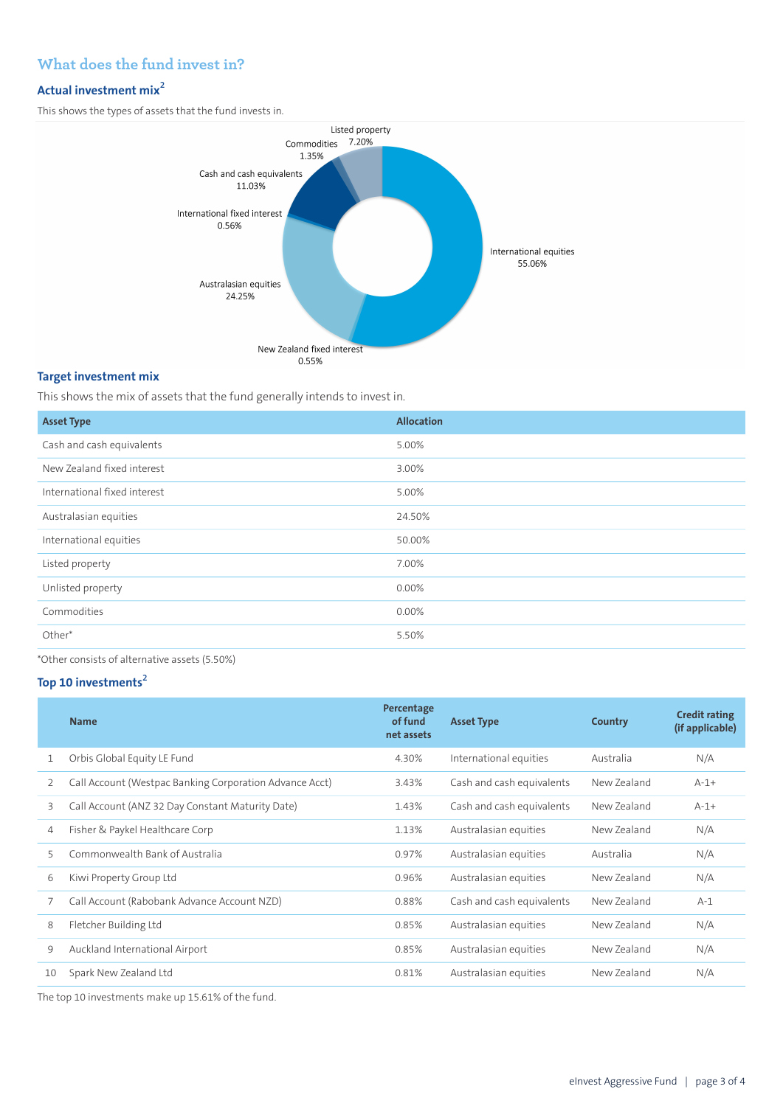# **What does the fund invest in?**

#### **Actual investment mix<sup>2</sup>**

This shows the types of assets that the fund invests in.



#### **Target investment mix**

This shows the mix of assets that the fund generally intends to invest in.

| <b>Asset Type</b>            | <b>Allocation</b> |
|------------------------------|-------------------|
| Cash and cash equivalents    | 5.00%             |
| New Zealand fixed interest   | 3.00%             |
| International fixed interest | 5.00%             |
| Australasian equities        | 24.50%            |
| International equities       | 50.00%            |
| Listed property              | 7.00%             |
| Unlisted property            | $0.00\%$          |
| Commodities                  | 0.00%             |
| Other*                       | 5.50%             |

\*Other consists of alternative assets (5.50%)

#### **Top 10 investments<sup>2</sup>**

|    | <b>Name</b>                                             | Percentage<br>of fund<br>net assets | <b>Asset Type</b>         | Country     | <b>Credit rating</b><br>(if applicable) |
|----|---------------------------------------------------------|-------------------------------------|---------------------------|-------------|-----------------------------------------|
| 1  | Orbis Global Equity LE Fund                             | 4.30%                               | International equities    | Australia   | N/A                                     |
| 2  | Call Account (Westpac Banking Corporation Advance Acct) | 3.43%                               | Cash and cash equivalents | New Zealand | $A-1+$                                  |
| 3  | Call Account (ANZ 32 Day Constant Maturity Date)        | 1.43%                               | Cash and cash equivalents | New Zealand | $A-1+$                                  |
| 4  | Fisher & Paykel Healthcare Corp                         | 1.13%                               | Australasian equities     | New Zealand | N/A                                     |
| 5  | Commonwealth Bank of Australia                          | 0.97%                               | Australasian equities     | Australia   | N/A                                     |
| 6  | Kiwi Property Group Ltd                                 | 0.96%                               | Australasian equities     | New Zealand | N/A                                     |
|    | Call Account (Rabobank Advance Account NZD)             | 0.88%                               | Cash and cash equivalents | New Zealand | $A-1$                                   |
| 8  | Fletcher Building Ltd                                   | 0.85%                               | Australasian equities     | New Zealand | N/A                                     |
| 9  | Auckland International Airport                          | 0.85%                               | Australasian equities     | New Zealand | N/A                                     |
| 10 | Spark New Zealand Ltd                                   | 0.81%                               | Australasian equities     | New Zealand | N/A                                     |

The top 10 investments make up 15.61% of the fund.